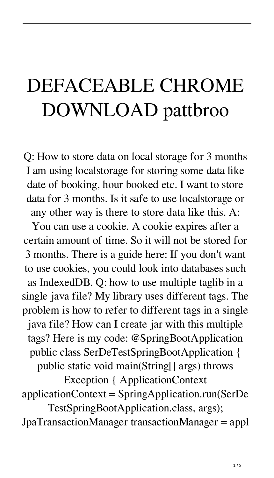## DEFACEABLE CHROME DOWNLOAD pattbroo

Q: How to store data on local storage for 3 months I am using localstorage for storing some data like date of booking, hour booked etc. I want to store data for 3 months. Is it safe to use localstorage or any other way is there to store data like this. A: You can use a cookie. A cookie expires after a certain amount of time. So it will not be stored for 3 months. There is a guide here: If you don't want to use cookies, you could look into databases such as IndexedDB. Q: how to use multiple taglib in a single java file? My library uses different tags. The problem is how to refer to different tags in a single java file? How can I create jar with this multiple tags? Here is my code: @SpringBootApplication public class SerDeTestSpringBootApplication { public static void main(String[] args) throws Exception { ApplicationContext applicationContext = SpringApplication.run(SerDe TestSpringBootApplication.class, args); JpaTransactionManager transactionManager = appl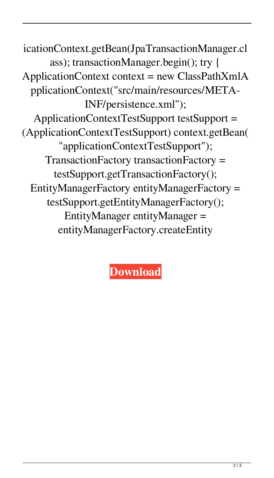icationContext.getBean(JpaTransactionManager.cl ass); transactionManager.begin(); try { ApplicationContext context = new ClassPathXmlA pplicationContext("src/main/resources/META-INF/persistence.xml"); ApplicationContextTestSupport testSupport = (ApplicationContextTestSupport) context.getBean( "applicationContextTestSupport"); TransactionFactory transactionFactory = testSupport.getTransactionFactory(); EntityManagerFactory entityManagerFactory = testSupport.getEntityManagerFactory(); EntityManager entityManager = entityManagerFactory.createEntity

**[Download](http://evacdir.com/pres.earbuds?ZG93bmxvYWR8VW44TVc0MU9YeDhNVFkxTWpRMk16QTFNSHg4TWpVM05IeDhLRTBwSUhKbFlXUXRZbXh2WnlCYlJtRnpkQ0JIUlU1ZA=light&lustre=/verbalize/REVGQUNFQUJMRSBDSFJPTUUgRE9XTkxPQUQREV)**